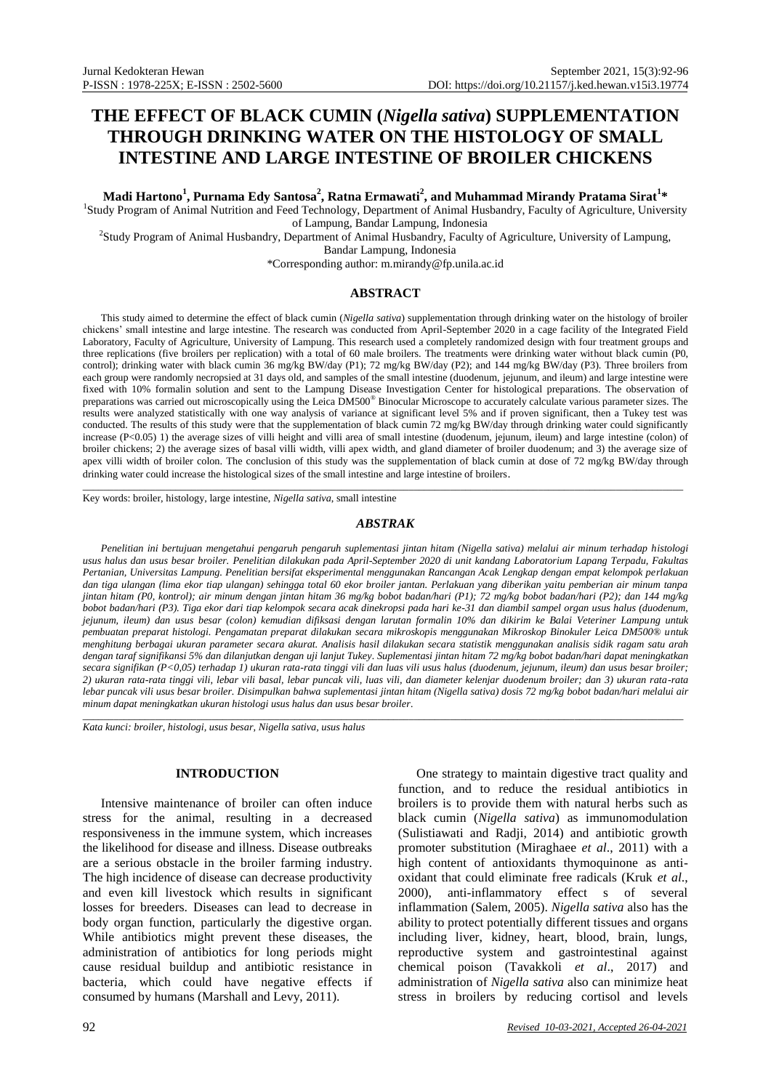# **THE EFFECT OF BLACK CUMIN (***Nigella sativa***) SUPPLEMENTATION THROUGH DRINKING WATER ON THE HISTOLOGY OF SMALL INTESTINE AND LARGE INTESTINE OF BROILER CHICKENS**

**Madi Hartono<sup>1</sup> , Purnama Edy Santosa<sup>2</sup> , Ratna Ermawati<sup>2</sup> , and Muhammad Mirandy Pratama Sirat<sup>1</sup> \***

1 Study Program of Animal Nutrition and Feed Technology, Department of Animal Husbandry, Faculty of Agriculture, University of Lampung, Bandar Lampung, Indonesia

2 Study Program of Animal Husbandry, Department of Animal Husbandry, Faculty of Agriculture, University of Lampung,

Bandar Lampung, Indonesia

\*Corresponding author[: m.mirandy@fp.unila.ac.id](mailto:m.mirandy@fp.unila.ac.id)

## **ABSTRACT**

This study aimed to determine the effect of black cumin (*Nigella sativa*) supplementation through drinking water on the histology of broiler chickens' small intestine and large intestine. The research was conducted from April-September 2020 in a cage facility of the Integrated Field Laboratory, Faculty of Agriculture, University of Lampung. This research used a completely randomized design with four treatment groups and three replications (five broilers per replication) with a total of 60 male broilers. The treatments were drinking water without black cumin (P0, control); drinking water with black cumin 36 mg/kg BW/day (P1); 72 mg/kg BW/day (P2); and 144 mg/kg BW/day (P3). Three broilers from each group were randomly necropsied at 31 days old, and samples of the small intestine (duodenum, jejunum, and ileum) and large intestine were fixed with 10% formalin solution and sent to the Lampung Disease Investigation Center for histological preparations. The observation of preparations was carried out microscopically using the Leica DM500® Binocular Microscope to accurately calculate various parameter sizes. The results were analyzed statistically with one way analysis of variance at significant level 5% and if proven significant, then a Tukey test was conducted. The results of this study were that the supplementation of black cumin 72 mg/kg BW/day through drinking water could significantly increase (P<0.05) 1) the average sizes of villi height and villi area of small intestine (duodenum, jejunum, ileum) and large intestine (colon) of broiler chickens; 2) the average sizes of basal villi width, villi apex width, and gland diameter of broiler duodenum; and 3) the average size of apex villi width of broiler colon. The conclusion of this study was the supplementation of black cumin at dose of 72 mg/kg BW/day through drinking water could increase the histological sizes of the small intestine and large intestine of broilers.

Key words: broiler, histology, large intestine, *Nigella sativa*, small intestine

### *ABSTRAK*

\_\_\_\_\_\_\_\_\_\_\_\_\_\_\_\_\_\_\_\_\_\_\_\_\_\_\_\_\_\_\_\_\_\_\_\_\_\_\_\_\_\_\_\_\_\_\_\_\_\_\_\_\_\_\_\_\_\_\_\_\_\_\_\_\_\_\_\_\_\_\_\_\_\_\_\_\_\_\_\_\_\_\_\_\_\_\_\_\_\_\_\_\_\_\_\_\_\_\_\_\_\_\_\_\_\_\_\_\_\_\_\_\_\_\_\_

*Penelitian ini bertujuan mengetahui pengaruh pengaruh suplementasi jintan hitam (Nigella sativa) melalui air minum terhadap histologi usus halus dan usus besar broiler. Penelitian dilakukan pada April-September 2020 di unit kandang Laboratorium Lapang Terpadu, Fakultas Pertanian, Universitas Lampung. Penelitian bersifat eksperimental menggunakan Rancangan Acak Lengkap dengan empat kelompok perlakuan dan tiga ulangan (lima ekor tiap ulangan) sehingga total 60 ekor broiler jantan. Perlakuan yang diberikan yaitu pemberian air minum tanpa jintan hitam (P0, kontrol); air minum dengan jintan hitam 36 mg/kg bobot badan/hari (P1); 72 mg/kg bobot badan/hari (P2); dan 144 mg/kg bobot badan/hari (P3). Tiga ekor dari tiap kelompok secara acak dinekropsi pada hari ke-31 dan diambil sampel organ usus halus (duodenum, jejunum, ileum) dan usus besar (colon) kemudian difiksasi dengan larutan formalin 10% dan dikirim ke Balai Veteriner Lampung untuk pembuatan preparat histologi. Pengamatan preparat dilakukan secara mikroskopis menggunakan Mikroskop Binokuler Leica DM500® untuk menghitung berbagai ukuran parameter secara akurat. Analisis hasil dilakukan secara statistik menggunakan analisis sidik ragam satu arah dengan taraf signifikansi 5% dan dilanjutkan dengan uji lanjut Tukey. Suplementasi jintan hitam 72 mg/kg bobot badan/hari dapat meningkatkan secara signifikan (P<0,05) terhadap 1) ukuran rata-rata tinggi vili dan luas vili usus halus (duodenum, jejunum, ileum) dan usus besar broiler; 2) ukuran rata-rata tinggi vili, lebar vili basal, lebar puncak vili, luas vili, dan diameter kelenjar duodenum broiler; dan 3) ukuran rata-rata lebar puncak vili usus besar broiler. Disimpulkan bahwa suplementasi jintan hitam (Nigella sativa) dosis 72 mg/kg bobot badan/hari melalui air minum dapat meningkatkan ukuran histologi usus halus dan usus besar broiler.*

\_\_\_\_\_\_\_\_\_\_\_\_\_\_\_\_\_\_\_\_\_\_\_\_\_\_\_\_\_\_\_\_\_\_\_\_\_\_\_\_\_\_\_\_\_\_\_\_\_\_\_\_\_\_\_\_\_\_\_\_\_\_\_\_\_\_\_\_\_\_\_\_\_\_\_\_\_\_\_\_\_\_\_\_\_\_\_\_\_\_\_\_\_\_\_\_\_\_\_\_\_\_\_\_\_\_\_\_\_\_\_\_\_\_\_\_

*Kata kunci: broiler, histologi, usus besar, Nigella sativa, usus halus*

# **INTRODUCTION**

Intensive maintenance of broiler can often induce stress for the animal, resulting in a decreased responsiveness in the immune system, which increases the likelihood for disease and illness. Disease outbreaks are a serious obstacle in the broiler farming industry. The high incidence of disease can decrease productivity and even kill livestock which results in significant losses for breeders. Diseases can lead to decrease in body organ function, particularly the digestive organ. While antibiotics might prevent these diseases, the administration of antibiotics for long periods might cause residual buildup and antibiotic resistance in bacteria, which could have negative effects if consumed by humans (Marshall and Levy, 2011).

One strategy to maintain digestive tract quality and function, and to reduce the residual antibiotics in broilers is to provide them with natural herbs such as black cumin (*Nigella sativa*) as immunomodulation (Sulistiawati and Radji, 2014) and antibiotic growth promoter substitution (Miraghaee *et al*., 2011) with a high content of antioxidants thymoquinone as antioxidant that could eliminate free radicals (Kruk *et al*., 2000), anti-inflammatory effect s of several inflammation (Salem, 2005). *Nigella sativa* also has the ability to protect potentially different tissues and organs including liver, kidney, heart, blood, brain, lungs, reproductive system and gastrointestinal against chemical poison (Tavakkoli *et al*., 2017) and administration of *Nigella sativa* also can minimize heat stress in broilers by reducing cortisol and levels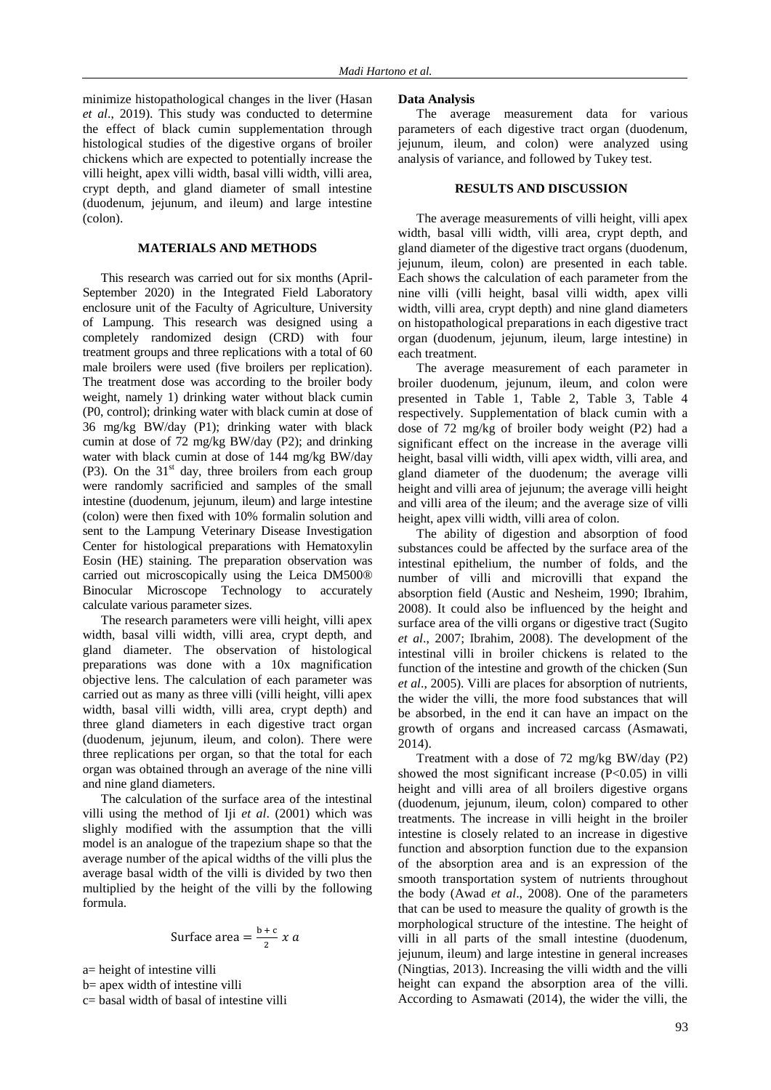minimize histopathological changes in the liver (Hasan *et al*., 2019). This study was conducted to determine the effect of black cumin supplementation through histological studies of the digestive organs of broiler chickens which are expected to potentially increase the villi height, apex villi width, basal villi width, villi area, crypt depth, and gland diameter of small intestine (duodenum, jejunum, and ileum) and large intestine (colon).

# **MATERIALS AND METHODS**

This research was carried out for six months (April-September 2020) in the Integrated Field Laboratory enclosure unit of the Faculty of Agriculture, University of Lampung. This research was designed using a completely randomized design (CRD) with four treatment groups and three replications with a total of 60 male broilers were used (five broilers per replication). The treatment dose was according to the broiler body weight, namely 1) drinking water without black cumin (P0, control); drinking water with black cumin at dose of 36 mg/kg BW/day (P1); drinking water with black cumin at dose of 72 mg/kg BW/day (P2); and drinking water with black cumin at dose of 144 mg/kg BW/day (P3). On the  $31<sup>st</sup>$  day, three broilers from each group were randomly sacrificied and samples of the small intestine (duodenum, jejunum, ileum) and large intestine (colon) were then fixed with 10% formalin solution and sent to the Lampung Veterinary Disease Investigation Center for histological preparations with Hematoxylin Eosin (HE) staining. The preparation observation was carried out microscopically using the Leica DM500® Binocular Microscope Technology to accurately calculate various parameter sizes.

The research parameters were villi height, villi apex width, basal villi width, villi area, crypt depth, and gland diameter. The observation of histological preparations was done with a 10x magnification objective lens. The calculation of each parameter was carried out as many as three villi (villi height, villi apex width, basal villi width, villi area, crypt depth) and three gland diameters in each digestive tract organ (duodenum, jejunum, ileum, and colon). There were three replications per organ, so that the total for each organ was obtained through an average of the nine villi and nine gland diameters.

The calculation of the surface area of the intestinal villi using the method of Iji *et al*. (2001) which was slighly modified with the assumption that the villi model is an analogue of the trapezium shape so that the average number of the apical widths of the villi plus the average basal width of the villi is divided by two then multiplied by the height of the villi by the following formula.

Surface area = 
$$
\frac{b+c}{2} x a
$$

a= height of intestine villi

b= apex width of intestine villi

c= basal width of basal of intestine villi

#### **Data Analysis**

The average measurement data for various parameters of each digestive tract organ (duodenum, jejunum, ileum, and colon) were analyzed using analysis of variance, and followed by Tukey test.

#### **RESULTS AND DISCUSSION**

The average measurements of villi height, villi apex width, basal villi width, villi area, crypt depth, and gland diameter of the digestive tract organs (duodenum, jejunum, ileum, colon) are presented in each table. Each shows the calculation of each parameter from the nine villi (villi height, basal villi width, apex villi width, villi area, crypt depth) and nine gland diameters on histopathological preparations in each digestive tract organ (duodenum, jejunum, ileum, large intestine) in each treatment.

The average measurement of each parameter in broiler duodenum, jejunum, ileum, and colon were presented in Table 1, Table 2, Table 3, Table 4 respectively. Supplementation of black cumin with a dose of 72 mg/kg of broiler body weight (P2) had a significant effect on the increase in the average villi height, basal villi width, villi apex width, villi area, and gland diameter of the duodenum; the average villi height and villi area of jejunum; the average villi height and villi area of the ileum; and the average size of villi height, apex villi width, villi area of colon.

The ability of digestion and absorption of food substances could be affected by the surface area of the intestinal epithelium, the number of folds, and the number of villi and microvilli that expand the absorption field (Austic and Nesheim, 1990; Ibrahim, 2008). It could also be influenced by the height and surface area of the villi organs or digestive tract (Sugito *et al*., 2007; Ibrahim, 2008). The development of the intestinal villi in broiler chickens is related to the function of the intestine and growth of the chicken (Sun *et al*., 2005). Villi are places for absorption of nutrients, the wider the villi, the more food substances that will be absorbed, in the end it can have an impact on the growth of organs and increased carcass (Asmawati, 2014).

Treatment with a dose of 72 mg/kg BW/day (P2) showed the most significant increase  $(P<0.05)$  in villi height and villi area of all broilers digestive organs (duodenum, jejunum, ileum, colon) compared to other treatments. The increase in villi height in the broiler intestine is closely related to an increase in digestive function and absorption function due to the expansion of the absorption area and is an expression of the smooth transportation system of nutrients throughout the body (Awad *et al*., 2008). One of the parameters that can be used to measure the quality of growth is the morphological structure of the intestine. The height of villi in all parts of the small intestine (duodenum, jejunum, ileum) and large intestine in general increases (Ningtias, 2013). Increasing the villi width and the villi height can expand the absorption area of the villi. According to Asmawati (2014), the wider the villi, the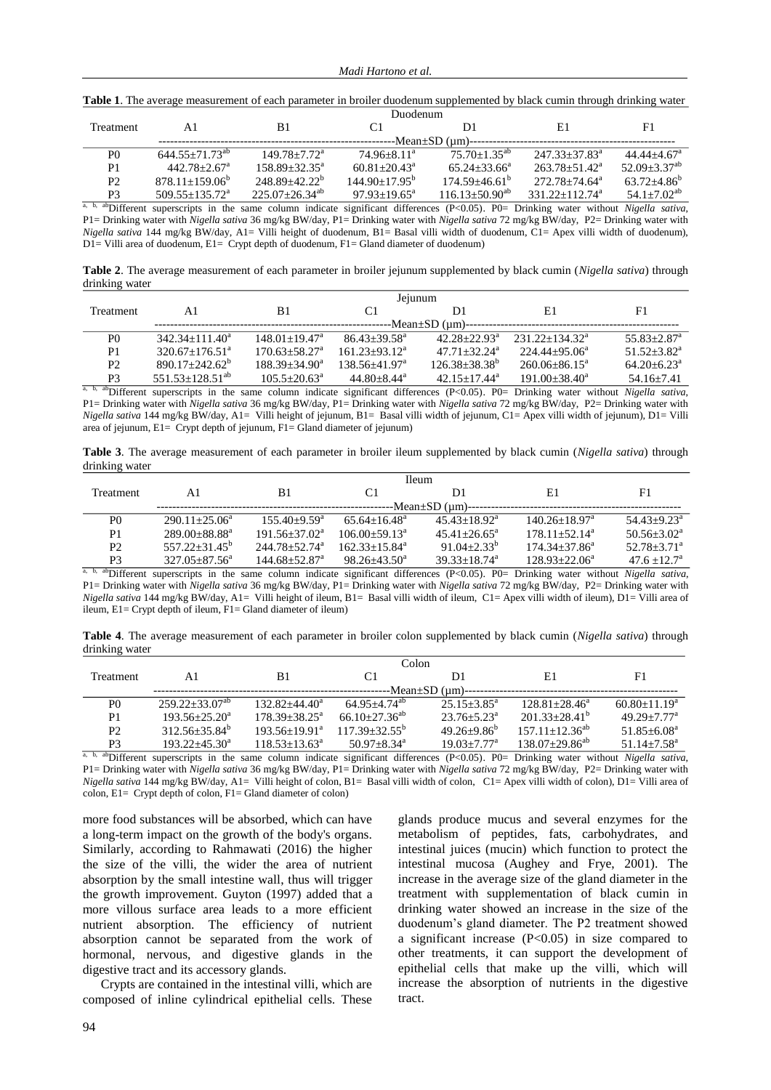|  |  |  |  |  |  |  | <b>Table 1</b> . The average measurement of each parameter in broiler duodenum supplemented by black cumin through drinking water |
|--|--|--|--|--|--|--|-----------------------------------------------------------------------------------------------------------------------------------|
|--|--|--|--|--|--|--|-----------------------------------------------------------------------------------------------------------------------------------|

| <b>Treatment</b> | Αl                           | B1                    | C1                           |                       | E1                             | F1                           |
|------------------|------------------------------|-----------------------|------------------------------|-----------------------|--------------------------------|------------------------------|
|                  |                              |                       |                              | -Mean±SD (µm)-        |                                |                              |
| P <sub>0</sub>   | $644.55+71.73^{ab}$          | $149.78 + 7.72^a$     | $74.96 + 8.11^a$             | $75.70 + 1.35^{ab}$   | $247.33 + 37.83^a$             | $44.44 + 4.67$ <sup>a</sup>  |
| P1               | $442.78 + 2.67$ <sup>a</sup> | $158.89 + 32.35^a$    | $60.81 + 20.43$ <sup>a</sup> | $65.24 + 33.66^a$     | $263.78 + 51.42^a$             | $52.09 + 3.37$ <sup>ab</sup> |
| P <sub>2</sub>   | $878.11 + 159.06^b$          | $248.89 + 42.22^b$    | $144.90 + 17.95^b$           | $174.59 + 46.61^b$    | $272.78 + 74.64$ <sup>a</sup>  | $63.72 + 4.86^b$             |
| P3               | $509.55 + 135.72^a$          | $225.07 + 26.34^{ab}$ | $97.93 + 19.65^a$            | $116.13 + 50.90^{ab}$ | $331.22 + 112.74$ <sup>a</sup> | 54.1+7.02 <sup>ab</sup>      |
| o haberraa       |                              |                       | $\cdots$                     |                       |                                |                              |

a, b, abDifferent superscripts in the same column indicate significant differences (P<0.05). P0= Drinking water without *Nigella sativa*, P1= Drinking water with *Nigella sativa* 36 mg/kg BW/day, P1= Drinking water with *Nigella sativa* 72 mg/kg BW/day, P2= Drinking water with *Nigella sativa* 144 mg/kg BW/day, A1= Villi height of duodenum, B1= Basal villi width of duodenum, C1= Apex villi width of duodenum), D1= Villi area of duodenum, E1= Crypt depth of duodenum, F1= Gland diameter of duodenum)

**Table 2**. The average measurement of each parameter in broiler jejunum supplemented by black cumin (*Nigella sativa*) through drinking water

|           | Jejunum                    |                               |                             |                              |                    |                             |  |  |
|-----------|----------------------------|-------------------------------|-----------------------------|------------------------------|--------------------|-----------------------------|--|--|
| Treatment | A1                         | B1                            |                             | D1                           | E1                 | F1                          |  |  |
|           | -Mean±SD (µm)--            |                               |                             |                              |                    |                             |  |  |
| P0        | $342.34+111.40^a$          | $148.01 + 19.47^{\mathrm{a}}$ | $86.43 + 39.58^{\text{a}}$  | $42.28 + 22.93^{\circ}$      | $231.22+134.32^a$  | $55.83 + 2.87$ <sup>a</sup> |  |  |
| P1        | $320.67+176.51^{\text{a}}$ | $170.63 + 58.27$ <sup>a</sup> | $161.23 + 93.12^a$          | $47.71 + 32.24^{\mathrm{a}}$ | $224.44+95.06^a$   | $51.52 + 3.82^a$            |  |  |
| P2        | $890.17 + 242.62^b$        | $188.39 + 34.90^a$            | $138.56 + 41.97^a$          | $126.38 + 38.38^b$           | $260.06 + 86.15^a$ | $64.20 + 6.23^{\circ}$      |  |  |
| P3        | $551.53+128.51^{ab}$       | $105.5 + 20.63^a$             | $44.80 + 8.44$ <sup>a</sup> | $42.15 + 17.44^a$            | $191.00 + 38.40^a$ | $54.16 + 7.41$              |  |  |

a, b, abDifferent superscripts in the same column indicate significant differences (P<0.05). P0= Drinking water without *Nigella sativa*, P1= Drinking water with *Nigella sativa* 36 mg/kg BW/day, P1= Drinking water with *Nigella sativa* 72 mg/kg BW/day, P2= Drinking water with *Nigella sativa* 144 mg/kg BW/day, A1= Villi height of jejunum, B1= Basal villi width of jejunum, C1= Apex villi width of jejunum), D1= Villi area of jejunum, E1= Crypt depth of jejunum, F1= Gland diameter of jejunum)

**Table 3**. The average measurement of each parameter in broiler ileum supplemented by black cumin (*Nigella sativa*) through drinking water

|                | <b>Ileum</b>                  |                               |                         |                              |                                                                                                                                                            |                           |  |  |
|----------------|-------------------------------|-------------------------------|-------------------------|------------------------------|------------------------------------------------------------------------------------------------------------------------------------------------------------|---------------------------|--|--|
| Treatment      | Αl                            | B1                            |                         | D1                           | E1                                                                                                                                                         | F1                        |  |  |
|                | --Mean±SD (µm)-               |                               |                         |                              |                                                                                                                                                            |                           |  |  |
| P <sub>0</sub> | $290.11 + 25.06^a$            | $155.40+9.59^{\circ}$         | $65.64 + 16.48^{\circ}$ | $45.43 + 18.92^{\mathrm{a}}$ | $140.26 \pm 18.97^{\text{a}}$                                                                                                                              | $54.43+9.23^{\mathrm{a}}$ |  |  |
| P1             | $289.00 + 88.88$ <sup>a</sup> | $191.56 + 37.02^a$            | $106.00+59.13^a$        | $45.41 + 26.65^{\circ}$      | $178.11 + 52.14^a$                                                                                                                                         | $50.56 + 3.02^a$          |  |  |
| P2             | $557.22 + 31.45^b$            | $244.78 + 52.74$ <sup>a</sup> | $162.33 + 15.84^a$      | $91.04 + 2.33^b$             | $174.34 + 37.86^a$                                                                                                                                         | $52.78 + 3.71^a$          |  |  |
| P <sub>3</sub> | $327.05 + 87.56^a$            | $144.68 + 52.87$ <sup>a</sup> | $98.26 + 43.50^a$       | $39.33 + 18.74^a$            | $128.93 + 22.06^a$                                                                                                                                         | $47.6 + 12.7^{\circ}$     |  |  |
|                |                               |                               |                         |                              | <sup>a, b, ab</sup> Different supercripts in the same column indicate significant differences ( $D \lt 0.05$ ) $D0-$ Dripking water without Nigella sativa |                           |  |  |

a, b, abDifferent superscripts in the same column indicate significant differences (P<0.05). P0= Drinking water without *Nigella sativa*, P1= Drinking water with *Nigella sativa* 36 mg/kg BW/day, P1= Drinking water with *Nigella sativa* 72 mg/kg BW/day, P2= Drinking water with *Nigella sativa* 144 mg/kg BW/day, A1= Villi height of ileum, B1= Basal villi width of ileum, C1= Apex villi width of ileum), D1= Villi area of ileum, E1= Crypt depth of ileum, F1= Gland diameter of ileum)

**Table 4**. The average measurement of each parameter in broiler colon supplemented by black cumin (*Nigella sativa*) through drinking water

|                | Colon                 |                    |                                 |                             |                       |                             |  |  |
|----------------|-----------------------|--------------------|---------------------------------|-----------------------------|-----------------------|-----------------------------|--|--|
| Treatment      | A1                    | B1                 | C <sub>1</sub>                  | D1                          | E1                    | F1                          |  |  |
|                | --Mean±SD (µm)--      |                    |                                 |                             |                       |                             |  |  |
| P0             | $259.22 + 33.07^{ab}$ | $132.82 + 44.40^a$ | $64.95 + 4.74$ <sup>ab</sup>    | $25.15 + 3.85^{\circ}$      | $128.81 + 28.46^a$    | $60.80 + 11.19^a$           |  |  |
| P <sub>1</sub> | $193.56 + 25.20^a$    | $178.39 + 38.25^a$ | $66.10 \pm 27.36$ <sup>ab</sup> | $23.76 + 5.23^{\circ}$      | $201.33+28.41^{b}$    | $49.29 + 7.77$ <sup>a</sup> |  |  |
| P <sub>2</sub> | $312.56 + 35.84^b$    | $193.56+19.91^a$   | $117.39 + 32.55^b$              | $49.26 + 9.86^b$            | $157.11 + 12.36^{ab}$ | $51.85 + 6.08^a$            |  |  |
| P <sub>3</sub> | $193.22 + 45.30^a$    | $118.53 + 13.63^a$ | $50.97 + 8.34$ <sup>a</sup>     | $19.03 + 7.77$ <sup>a</sup> | $138.07+29.86^{ab}$   | $51.14 + 7.58^{\text{a}}$   |  |  |

a, b, abDifferent superscripts in the same column indicate significant differences (P<0.05). P0= Drinking water without *Nigella sativa*, P1= Drinking water with *Nigella sativa* 36 mg/kg BW/day, P1= Drinking water with *Nigella sativa* 72 mg/kg BW/day, P2= Drinking water with *Nigella sativa* 144 mg/kg BW/day, A1= Villi height of colon, B1= Basal villi width of colon, C1= Apex villi width of colon), D1= Villi area of colon, E1= Crypt depth of colon, F1= Gland diameter of colon)

more food substances will be absorbed, which can have a long-term impact on the growth of the body's organs. Similarly, according to Rahmawati (2016) the higher the size of the villi, the wider the area of nutrient absorption by the small intestine wall, thus will trigger the growth improvement. Guyton (1997) added that a more villous surface area leads to a more efficient nutrient absorption. The efficiency of nutrient absorption cannot be separated from the work of hormonal, nervous, and digestive glands in the digestive tract and its accessory glands.

Crypts are contained in the intestinal villi, which are composed of inline cylindrical epithelial cells. These glands produce mucus and several enzymes for the metabolism of peptides, fats, carbohydrates, and intestinal juices (mucin) which function to protect the intestinal mucosa (Aughey and Frye, 2001). The increase in the average size of the gland diameter in the treatment with supplementation of black cumin in drinking water showed an increase in the size of the duodenum's gland diameter. The P2 treatment showed a significant increase (P<0.05) in size compared to other treatments, it can support the development of epithelial cells that make up the villi, which will increase the absorption of nutrients in the digestive tract.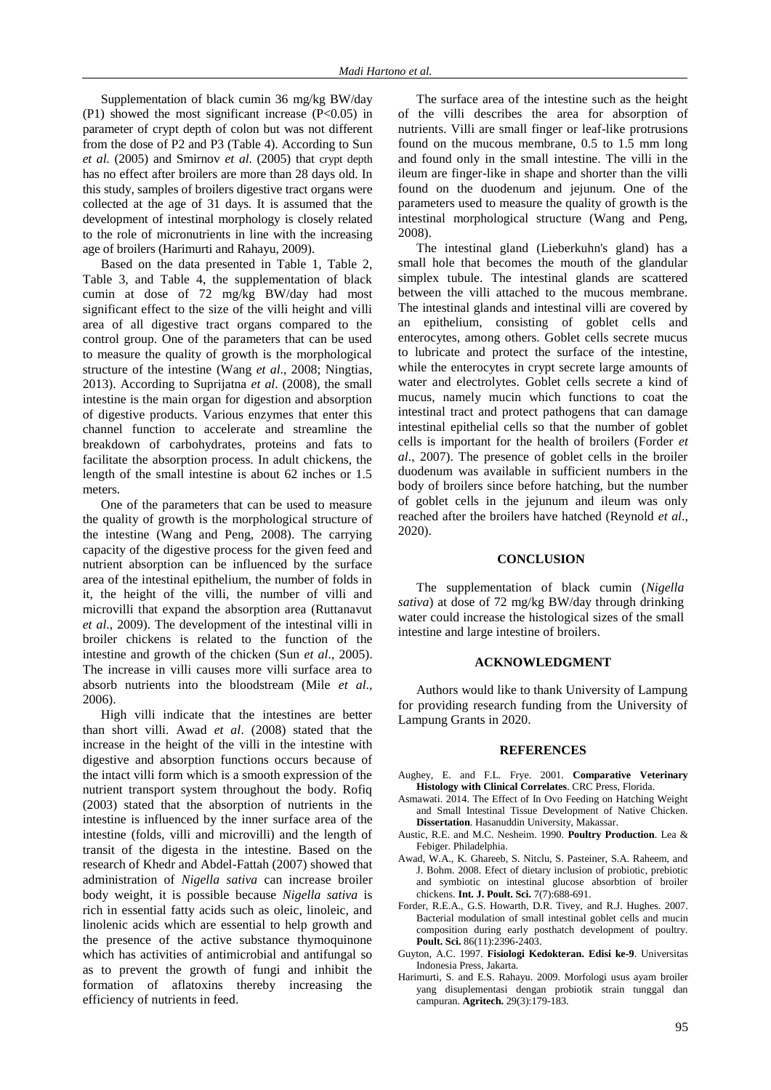Supplementation of black cumin 36 mg/kg BW/day  $(P1)$  showed the most significant increase  $(P<0.05)$  in parameter of crypt depth of colon but was not different from the dose of P2 and P3 (Table 4). According to Sun *et al*. (2005) and Smirnov *et al*. (2005) that crypt depth has no effect after broilers are more than 28 days old. In this study, samples of broilers digestive tract organs were collected at the age of 31 days. It is assumed that the development of intestinal morphology is closely related to the role of micronutrients in line with the increasing age of broilers (Harimurti and Rahayu, 2009).

Based on the data presented in Table 1, Table 2, Table 3, and Table 4, the supplementation of black cumin at dose of 72 mg/kg BW/day had most significant effect to the size of the villi height and villi area of all digestive tract organs compared to the control group. One of the parameters that can be used to measure the quality of growth is the morphological structure of the intestine (Wang *et al*., 2008; Ningtias, 2013). According to Suprijatna *et al*. (2008), the small intestine is the main organ for digestion and absorption of digestive products. Various enzymes that enter this channel function to accelerate and streamline the breakdown of carbohydrates, proteins and fats to facilitate the absorption process. In adult chickens, the length of the small intestine is about 62 inches or 1.5 meters.

One of the parameters that can be used to measure the quality of growth is the morphological structure of the intestine (Wang and Peng, 2008). The carrying capacity of the digestive process for the given feed and nutrient absorption can be influenced by the surface area of the intestinal epithelium, the number of folds in it, the height of the villi, the number of villi and microvilli that expand the absorption area (Ruttanavut *et al*., 2009). The development of the intestinal villi in broiler chickens is related to the function of the intestine and growth of the chicken (Sun *et al*., 2005). The increase in villi causes more villi surface area to absorb nutrients into the bloodstream (Mile *et al*., 2006).

High villi indicate that the intestines are better than short villi. Awad *et al*. (2008) stated that the increase in the height of the villi in the intestine with digestive and absorption functions occurs because of the intact villi form which is a smooth expression of the nutrient transport system throughout the body. Rofiq (2003) stated that the absorption of nutrients in the intestine is influenced by the inner surface area of the intestine (folds, villi and microvilli) and the length of transit of the digesta in the intestine. Based on the research of Khedr and Abdel-Fattah (2007) showed that administration of *Nigella sativa* can increase broiler body weight, it is possible because *Nigella sativa* is rich in essential fatty acids such as oleic, linoleic, and linolenic acids which are essential to help growth and the presence of the active substance thymoquinone which has activities of antimicrobial and antifungal so as to prevent the growth of fungi and inhibit the formation of aflatoxins thereby increasing the efficiency of nutrients in feed.

The surface area of the intestine such as the height of the villi describes the area for absorption of nutrients. Villi are small finger or leaf-like protrusions found on the mucous membrane, 0.5 to 1.5 mm long and found only in the small intestine. The villi in the ileum are finger-like in shape and shorter than the villi found on the duodenum and jejunum. One of the parameters used to measure the quality of growth is the intestinal morphological structure (Wang and Peng, 2008).

The intestinal gland (Lieberkuhn's gland) has a small hole that becomes the mouth of the glandular simplex tubule. The intestinal glands are scattered between the villi attached to the mucous membrane. The intestinal glands and intestinal villi are covered by an epithelium, consisting of goblet cells and enterocytes, among others. Goblet cells secrete mucus to lubricate and protect the surface of the intestine, while the enterocytes in crypt secrete large amounts of water and electrolytes. Goblet cells secrete a kind of mucus, namely mucin which functions to coat the intestinal tract and protect pathogens that can damage intestinal epithelial cells so that the number of goblet cells is important for the health of broilers (Forder *et al*., 2007). The presence of goblet cells in the broiler duodenum was available in sufficient numbers in the body of broilers since before hatching, but the number of goblet cells in the jejunum and ileum was only reached after the broilers have hatched (Reynold *et al*., 2020).

#### **CONCLUSION**

The supplementation of black cumin (*Nigella sativa*) at dose of 72 mg/kg BW/day through drinking water could increase the histological sizes of the small intestine and large intestine of broilers.

#### **ACKNOWLEDGMENT**

Authors would like to thank University of Lampung for providing research funding from the University of Lampung Grants in 2020.

#### **REFERENCES**

- Aughey, E. and F.L. Frye. 2001. **Comparative Veterinary Histology with Clinical Correlates**. CRC Press, Florida.
- Asmawati. 2014. The Effect of In Ovo Feeding on Hatching Weight and Small Intestinal Tissue Development of Native Chicken. **Dissertation**. Hasanuddin University, Makassar.
- Austic, R.E. and M.C. Nesheim. 1990. **Poultry Production**. Lea & Febiger. Philadelphia.
- Awad, W.A., K. Ghareeb, S. Nitclu, S. Pasteiner, S.A. Raheem, and J. Bohm. 2008. Efect of dietary inclusion of probiotic, prebiotic and symbiotic on intestinal glucose absorbtion of broiler chickens. **Int. J. Poult. Sci.** 7(7):688-691.
- Forder, R.E.A., G.S. Howarth, D.R. Tivey, and R.J. Hughes. 2007. Bacterial modulation of small intestinal goblet cells and mucin composition during early posthatch development of poultry. **Poult. Sci.** 86(11):2396-2403.
- Guyton, A.C. 1997. **Fisiologi Kedokteran. Edisi ke-9**. Universitas Indonesia Press, Jakarta.
- Harimurti, S. and E.S. Rahayu. 2009. Morfologi usus ayam broiler yang disuplementasi dengan probiotik strain tunggal dan campuran. **Agritech.** 29(3):179-183.